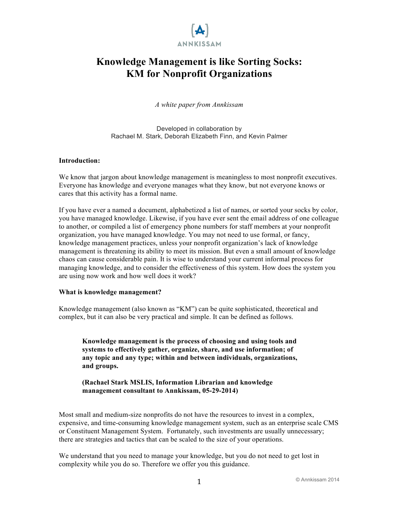

# **Knowledge Management is like Sorting Socks: KM for Nonprofit Organizations**

*A white paper from Annkissam*

Developed in collaboration by Rachael M. Stark, Deborah Elizabeth Finn, and Kevin Palmer

#### **Introduction:**

We know that jargon about knowledge management is meaningless to most nonprofit executives. Everyone has knowledge and everyone manages what they know, but not everyone knows or cares that this activity has a formal name.

If you have ever a named a document, alphabetized a list of names, or sorted your socks by color, you have managed knowledge. Likewise, if you have ever sent the email address of one colleague to another, or compiled a list of emergency phone numbers for staff members at your nonprofit organization, you have managed knowledge. You may not need to use formal, or fancy, knowledge management practices, unless your nonprofit organization's lack of knowledge management is threatening its ability to meet its mission. But even a small amount of knowledge chaos can cause considerable pain. It is wise to understand your current informal process for managing knowledge, and to consider the effectiveness of this system. How does the system you are using now work and how well does it work?

#### **What is knowledge management?**

Knowledge management (also known as "KM") can be quite sophisticated, theoretical and complex, but it can also be very practical and simple. It can be defined as follows.

**Knowledge management is the process of choosing and using tools and systems to effectively gather, organize, share, and use information; of any topic and any type; within and between individuals, organizations, and groups.** 

### **(Rachael Stark MSLIS, Information Librarian and knowledge management consultant to Annkissam, 05-29-2014)**

Most small and medium-size nonprofits do not have the resources to invest in a complex, expensive, and time-consuming knowledge management system, such as an enterprise scale CMS or Constituent Management System. Fortunately, such investments are usually unnecessary; there are strategies and tactics that can be scaled to the size of your operations.

We understand that you need to manage your knowledge, but you do not need to get lost in complexity while you do so. Therefore we offer you this guidance.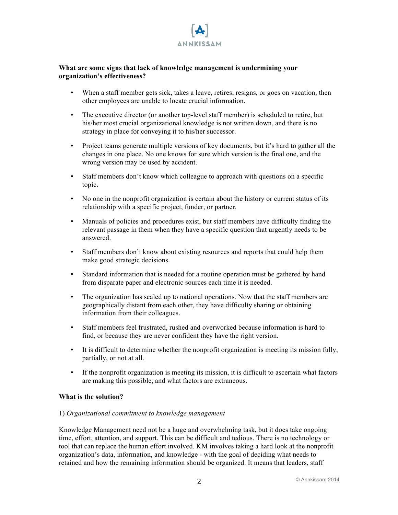

### **What are some signs that lack of knowledge management is undermining your organization's effectiveness?**

- When a staff member gets sick, takes a leave, retires, resigns, or goes on vacation, then other employees are unable to locate crucial information.
- The executive director (or another top-level staff member) is scheduled to retire, but his/her most crucial organizational knowledge is not written down, and there is no strategy in place for conveying it to his/her successor.
- Project teams generate multiple versions of key documents, but it's hard to gather all the changes in one place. No one knows for sure which version is the final one, and the wrong version may be used by accident.
- Staff members don't know which colleague to approach with questions on a specific topic.
- No one in the nonprofit organization is certain about the history or current status of its relationship with a specific project, funder, or partner.
- Manuals of policies and procedures exist, but staff members have difficulty finding the relevant passage in them when they have a specific question that urgently needs to be answered.
- Staff members don't know about existing resources and reports that could help them make good strategic decisions.
- Standard information that is needed for a routine operation must be gathered by hand from disparate paper and electronic sources each time it is needed.
- The organization has scaled up to national operations. Now that the staff members are geographically distant from each other, they have difficulty sharing or obtaining information from their colleagues.
- Staff members feel frustrated, rushed and overworked because information is hard to find, or because they are never confident they have the right version.
- It is difficult to determine whether the nonprofit organization is meeting its mission fully, partially, or not at all.
- If the nonprofit organization is meeting its mission, it is difficult to ascertain what factors are making this possible, and what factors are extraneous.

### **What is the solution?**

### 1) *Organizational commitment to knowledge management*

Knowledge Management need not be a huge and overwhelming task, but it does take ongoing time, effort, attention, and support. This can be difficult and tedious. There is no technology or tool that can replace the human effort involved. KM involves taking a hard look at the nonprofit organization's data, information, and knowledge - with the goal of deciding what needs to retained and how the remaining information should be organized. It means that leaders, staff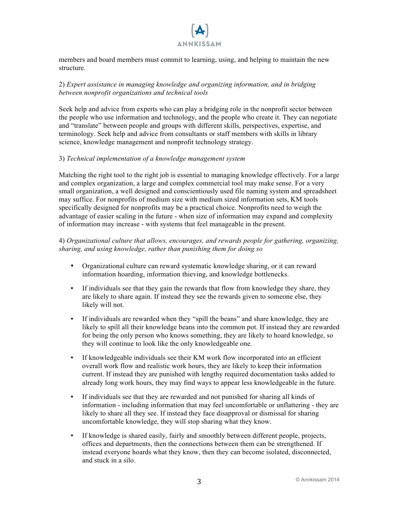

members and board members must commit to learning, using, and helping to maintain the new structure.

### 2) *Expert assistance in managing knowledge and organizing information, and in bridging between nonprofit organizations and technical tools*

Seek help and advice from experts who can play a bridging role in the nonprofit sector between the people who use information and technology, and the people who create it. They can negotiate and "translate" between people and groups with different skills, perspectives, expertise, and terminology. Seek help and advice from consultants or staff members with skills in library science, knowledge management and nonprofit technology strategy.

### 3) *Technical implementation of a knowledge management system*

Matching the right tool to the right job is essential to managing knowledge effectively. For a large and complex organization, a large and complex commercial tool may make sense. For a very small organization, a well designed and conscientiously used file naming system and spreadsheet may suffice. For nonprofits of medium size with medium sized information sets, KM tools specifically designed for nonprofits may be a practical choice. Nonprofits need to weigh the advantage of easier scaling in the future - when size of information may expand and complexity of information may increase - with systems that feel manageable in the present.

### 4) *Organizational culture that allows, encourages, and rewards people for gathering, organizing, sharing, and using knowledge, rather than punishing them for doing so*

- Organizational culture can reward systematic knowledge sharing, or it can reward information hoarding, information thieving, and knowledge bottlenecks.
- If individuals see that they gain the rewards that flow from knowledge they share, they are likely to share again. If instead they see the rewards given to someone else, they likely will not.
- If individuals are rewarded when they "spill the beans" and share knowledge, they are likely to spill all their knowledge beans into the common pot. If instead they are rewarded for being the only person who knows something, they are likely to hoard knowledge, so they will continue to look like the only knowledgeable one.
- If knowledgeable individuals see their KM work flow incorporated into an efficient overall work flow and realistic work hours, they are likely to keep their information current. If instead they are punished with lengthy required documentation tasks added to already long work hours, they may find ways to appear less knowledgeable in the future.
- If individuals see that they are rewarded and not punished for sharing all kinds of information - including information that may feel uncomfortable or unflattering - they are likely to share all they see. If instead they face disapproval or dismissal for sharing uncomfortable knowledge, they will stop sharing what they know.
- If knowledge is shared easily, fairly and smoothly between different people, projects, offices and departments, then the connections between them can be strengthened. If instead everyone hoards what they know, then they can become isolated, disconnected, and stuck in a silo.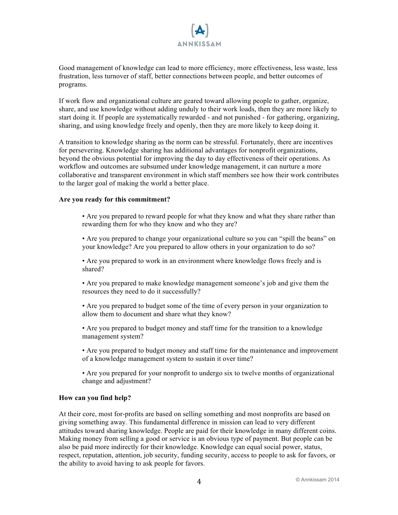

Good management of knowledge can lead to more efficiency, more effectiveness, less waste, less frustration, less turnover of staff, better connections between people, and better outcomes of programs.

If work flow and organizational culture are geared toward allowing people to gather, organize, share, and use knowledge without adding unduly to their work loads, then they are more likely to start doing it. If people are systematically rewarded - and not punished - for gathering, organizing, sharing, and using knowledge freely and openly, then they are more likely to keep doing it.

A transition to knowledge sharing as the norm can be stressful. Fortunately, there are incentives for persevering. Knowledge sharing has additional advantages for nonprofit organizations, beyond the obvious potential for improving the day to day effectiveness of their operations. As workflow and outcomes are subsumed under knowledge management, it can nurture a more collaborative and transparent environment in which staff members see how their work contributes to the larger goal of making the world a better place.

#### **Are you ready for this commitment?**

• Are you prepared to reward people for what they know and what they share rather than rewarding them for who they know and who they are?

• Are you prepared to change your organizational culture so you can "spill the beans" on your knowledge? Are you prepared to allow others in your organization to do so?

• Are you prepared to work in an environment where knowledge flows freely and is shared?

• Are you prepared to make knowledge management someone's job and give them the resources they need to do it successfully?

• Are you prepared to budget some of the time of every person in your organization to allow them to document and share what they know?

• Are you prepared to budget money and staff time for the transition to a knowledge management system?

• Are you prepared to budget money and staff time for the maintenance and improvement of a knowledge management system to sustain it over time?

• Are you prepared for your nonprofit to undergo six to twelve months of organizational change and adjustment?

#### **How can you find help?**

At their core, most for-profits are based on selling something and most nonprofits are based on giving something away. This fundamental difference in mission can lead to very different attitudes toward sharing knowledge. People are paid for their knowledge in many different coins. Making money from selling a good or service is an obvious type of payment. But people can be also be paid more indirectly for their knowledge. Knowledge can equal social power, status, respect, reputation, attention, job security, funding security, access to people to ask for favors, or the ability to avoid having to ask people for favors.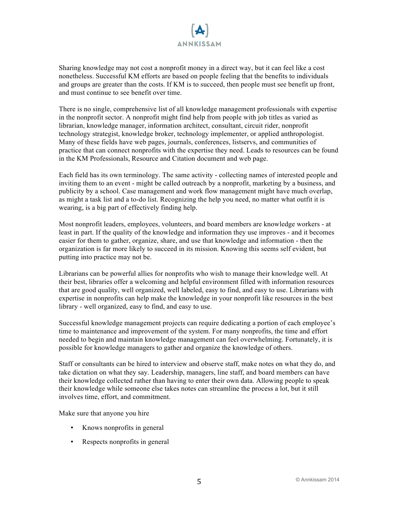

Sharing knowledge may not cost a nonprofit money in a direct way, but it can feel like a cost nonetheless. Successful KM efforts are based on people feeling that the benefits to individuals and groups are greater than the costs. If KM is to succeed, then people must see benefit up front, and must continue to see benefit over time.

There is no single, comprehensive list of all knowledge management professionals with expertise in the nonprofit sector. A nonprofit might find help from people with job titles as varied as librarian, knowledge manager, information architect, consultant, circuit rider, nonprofit technology strategist, knowledge broker, technology implementer, or applied anthropologist. Many of these fields have web pages, journals, conferences, listservs, and communities of practice that can connect nonprofits with the expertise they need. Leads to resources can be found in the KM Professionals, Resource and Citation document and web page.

Each field has its own terminology. The same activity - collecting names of interested people and inviting them to an event - might be called outreach by a nonprofit, marketing by a business, and publicity by a school. Case management and work flow management might have much overlap, as might a task list and a to-do list. Recognizing the help you need, no matter what outfit it is wearing, is a big part of effectively finding help.

Most nonprofit leaders, employees, volunteers, and board members are knowledge workers - at least in part. If the quality of the knowledge and information they use improves - and it becomes easier for them to gather, organize, share, and use that knowledge and information - then the organization is far more likely to succeed in its mission. Knowing this seems self evident, but putting into practice may not be.

Librarians can be powerful allies for nonprofits who wish to manage their knowledge well. At their best, libraries offer a welcoming and helpful environment filled with information resources that are good quality, well organized, well labeled, easy to find, and easy to use. Librarians with expertise in nonprofits can help make the knowledge in your nonprofit like resources in the best library - well organized, easy to find, and easy to use.

Successful knowledge management projects can require dedicating a portion of each employee's time to maintenance and improvement of the system. For many nonprofits, the time and effort needed to begin and maintain knowledge management can feel overwhelming. Fortunately, it is possible for knowledge managers to gather and organize the knowledge of others.

Staff or consultants can be hired to interview and observe staff, make notes on what they do, and take dictation on what they say. Leadership, managers, line staff, and board members can have their knowledge collected rather than having to enter their own data. Allowing people to speak their knowledge while someone else takes notes can streamline the process a lot, but it still involves time, effort, and commitment.

Make sure that anyone you hire

- Knows nonprofits in general
- Respects nonprofits in general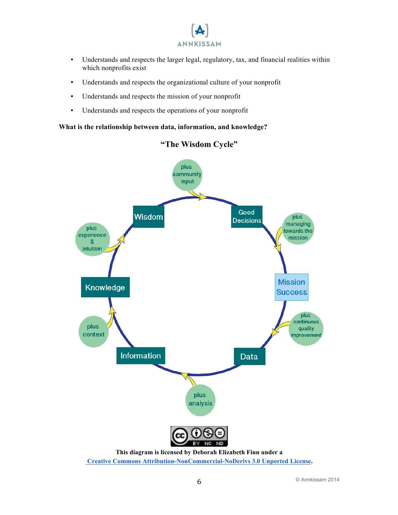

- Understands and respects the larger legal, regulatory, tax, and financial realities within which nonprofits exist
- Understands and respects the organizational culture of your nonprofit
- Understands and respects the mission of your nonprofit
- Understands and respects the operations of your nonprofit

### **What is the relationship between data, information, and knowledge?**



## **"The Wisdom Cycle"**

**Creative Commons Attribution-NonCommercial-NoDerivs 3.0 Unported License.**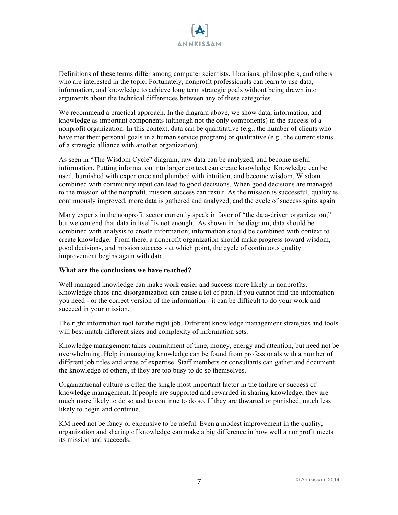

Definitions of these terms differ among computer scientists, librarians, philosophers, and others who are interested in the topic. Fortunately, nonprofit professionals can learn to use data, information, and knowledge to achieve long term strategic goals without being drawn into arguments about the technical differences between any of these categories.

We recommend a practical approach. In the diagram above, we show data, information, and knowledge as important components (although not the only components) in the success of a nonprofit organization. In this context, data can be quantitative (e.g., the number of clients who have met their personal goals in a human service program) or qualitative (e.g., the current status of a strategic alliance with another organization).

As seen in "The Wisdom Cycle" diagram, raw data can be analyzed, and become useful information. Putting information into larger context can create knowledge. Knowledge can be used, burnished with experience and plumbed with intuition, and become wisdom. Wisdom combined with community input can lead to good decisions. When good decisions are managed to the mission of the nonprofit, mission success can result. As the mission is successful, quality is continuously improved, more data is gathered and analyzed, and the cycle of success spins again.

Many experts in the nonprofit sector currently speak in favor of "the data-driven organization," but we contend that data in itself is not enough. As shown in the diagram, data should be combined with analysis to create information; information should be combined with context to create knowledge. From there, a nonprofit organization should make progress toward wisdom, good decisions, and mission success - at which point, the cycle of continuous quality improvement begins again with data.

#### **What are the conclusions we have reached?**

Well managed knowledge can make work easier and success more likely in nonprofits. Knowledge chaos and disorganization can cause a lot of pain. If you cannot find the information you need - or the correct version of the information - it can be difficult to do your work and succeed in your mission.

The right information tool for the right job. Different knowledge management strategies and tools will best match different sizes and complexity of information sets.

Knowledge management takes commitment of time, money, energy and attention, but need not be overwhelming. Help in managing knowledge can be found from professionals with a number of different iob titles and areas of expertise. Staff members or consultants can gather and document the knowledge of others, if they are too busy to do so themselves.

Organizational culture is often the single most important factor in the failure or success of knowledge management. If people are supported and rewarded in sharing knowledge, they are much more likely to do so and to continue to do so. If they are thwarted or punished, much less likely to begin and continue.

KM need not be fancy or expensive to be useful. Even a modest improvement in the quality, organization and sharing of knowledge can make a big difference in how well a nonprofit meets its mission and succeeds.